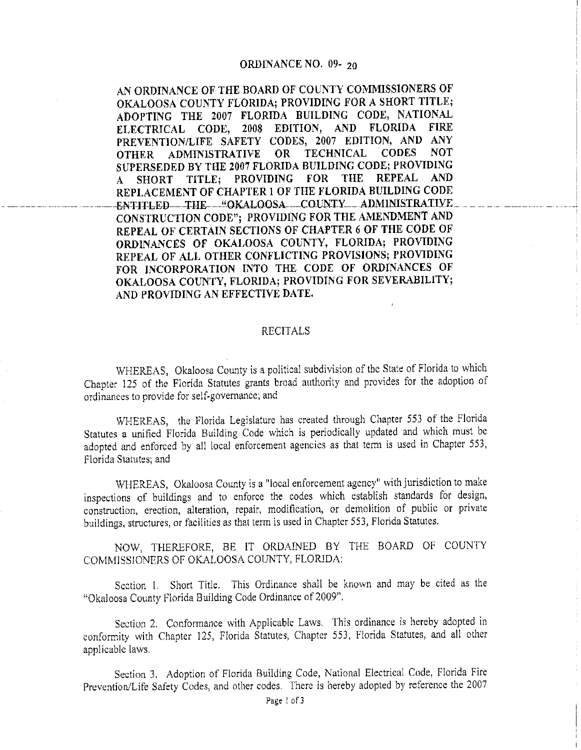## **ORDINANCE NO.** 09- 20

**AN ORDINANCE OF THE BOARD OF COUNTY COMMISSIONERS OF OKALOOSA COUNTY FLORIDA; PROVIDING FOR A SHORT TITLE; ADOPTING THE 2007 FLORIDA BUILDING CODE, NATIONAL ELECTRICAL CODE, 2008 EDITION, AND FLORIDA FIRE PREVENTION/LIFE SAFETY CODES, 2007 EDITION, AND ANY OTHER ADMINISTRATIVE OR TECHNICAL SUPERSEDED BY THE 2007 FLORIDA BUILDING CODE; PROVIDING A SHORT TITLE; PROVIDING FOR THE REPEAL AND REPLACEMENT OF CHAPTER I OF THE FLORIDA BUILDING CODE**  ENTITLED THE "OKALOOSA COUNTY ADMINISTRATIVE **CONSTRUCTION CODE"; PROVIDING FOR THE AMENDMENT AND REPEAL OF CERTAIN SECTIONS OF CHAPTER 6 OF THE CODE OF ORDINANCES OF OKALOOSA COUNTY, FLORIDA; PROVIDING REPEAL OF ALL OTHER CONFLICTING PROVISIONS; PROVIDING**  FOR INCORPORATION INTO THE CODE OF ORDINANCES OF **OKALOOSA COUNTY, FLORIDA; PROVIDING FOR SEVERABILITY; AND PROVIDING AN EFFECTIVE DATE.** 

## RECITALS

WHEREAS, Okaloosa County is a political subdivision of the State of Florida to which Chapter 125 of the Florida Statutes grants broad authority and provides for the adoption of ordinances to provide for self-governance: and

WHEREAS, the Florida Legislature has created through Chapter 553 of the Florida Statutes a unified Florida Building Code which is periodically updated and which must be adopted and enforced by all local enforcement agencies as that term is used in Chapter 553, Florida Statutes: and

WHEREAS, Okaloosa County is a "local enforcement agency" with jurisdiction to make inspections of buildings and to enforce the codes which establish standards for design, construction, erection, alteration, repair, modification, or demolition of public or private buildings, structures, or facilities as that term is used in Chapter 553, Florida Statutes.

NOW, THEREFORE, BE [T ORDAINED BY THE BOARD OF COUNTY COMMISSIONERS OF OKALOOSA COUNTY, FLORIDA:

Section 1. Short Title. This Ordinance shall be known and may be cited as the "Okaloosa County Florida Building Code Ordinance of 2009".

Section 2. Conformance with Applicable Laws. This ordinance is hereby adopted in conformity with Chapter 125, Florida Statutes, Chapter 553, Florida Statutes, and all other applicable laws.

Section 3. Adoption of Florida Building Code, National Electrical Code, Florida Fire Prevention/Life Safety Codes, and other codes. There is hereby adopted by reference the 2007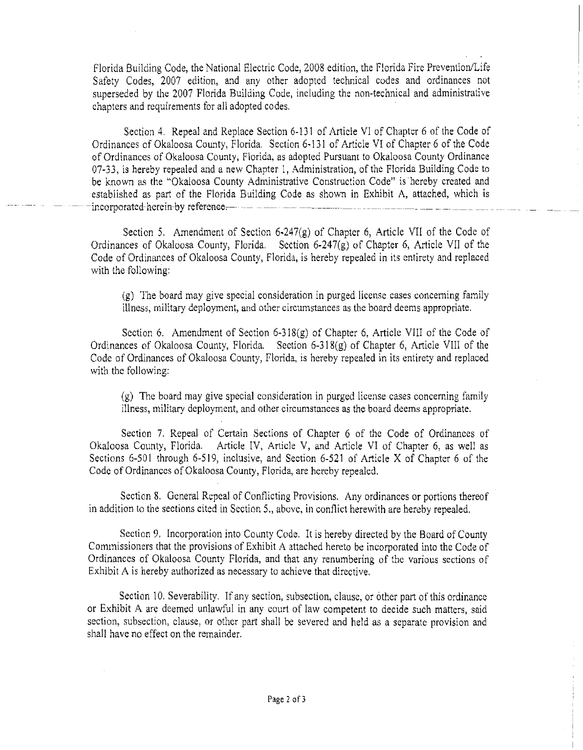Florida Building Code, the National Electric Code, 2008 edition, the Florida Fire Prevention/Life Safety Codes, 2007 edition, and any other adopted technical codes and ordinances not superseded by the 2007 Florida Building Code, including the non-technical and administrative chapters and requirements for all adopted codes.

Section 4. Repeal and Replace Section 6-131 of Article VI of Chapter 6 of the Code of Ordinances of Okaloosa County, Florida. Section 6-13 l of Article VI of Chapter 6 of the Code of Ordinances of Okaloosa County, Florida, as adopted Pursuant to Okaloosa County Ordinance 07-33, is hereby repealed and a new Chapter I, Administration, of the Florida Building Code to be known as the "Okaloosa County Administrative Construction Code" is hereby created and established as part of the Florida Building Code as shown in Exhibit A, attached, which is -incorporated-herein-by reference,-- -- --- -- --- --- - -- ---- --- -- \_\_\_\_\_\_\_\_ \_

Section 5. Amendment of Section 6-247(g) of Chapter 6, Article VII of the Code of Ordinances of Okaloosa County, Florida. Section 6-247(g) of Chapter 6, Article VII of the Code of Ordinances of Okaloosa County, Florida, is hereby repealed in its entirety and replaced with the following:

(g) The board may give special consideration in purged license cases concerning family illness, military deployment, and other circumstances as the board deems appropriate.

Section 6. Amendment of Section 6-318(g) of Chapter 6, Article Yl!l of the Code of Ordinances of Okaloosa County, Florida. Section 6-3 I8(g) of Chapter 6, Article VIII of the Code of Ordinances of Okaloosa County, Florida, is hereby repealed in its entirety and replaced with the following:

(g) The board may give special consideration in purged license cases concerning family illness, military deployment, and other circumstances as the board deems appropriate.

Section 7. Repeal of Certain Sections of Chapter 6 of the Code of Ordinances of Okaloosa County, Florida. Article IV, Article V, and Article VI of Chapter 6, as well as Sections 6-501 through 6-519, inclusive, and Section 6-521 of Article X of Chapter 6 of the Code of Ordinances of Okaloosa County, Florida, are hereby repealed.

Section 8. General Repeal of Conflicting Provisions. Any ordinances or portions thereof in addition to the sections cited in Section 5., above, in conflict herewith are hereby repealed.

Section 9. Incorporation into County Code. It is hereby directed by the Board of County Commissioners that the provisions of Exhibit A attached hereto be incorporated into the Code of Ordinances of Okaloosa County Florida, and that any renumbering of the various sections of Exhibit A is hereby authorized as necessary to achieve that directive.

Section 10. Severability. If any section, subsection, clause, or other part of this ordinance or Exhibit A are deemed unlawful in any court of law competent to decide such matters, said section, subsection, clause, or other part shall be severed and held as a separate provision and shall have no effect on the remainder.